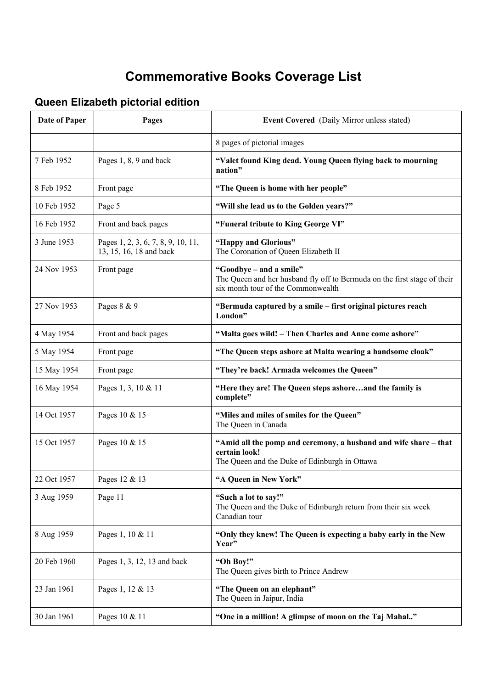## **Commemorative Books Coverage List**

## **Queen Elizabeth pictorial edition**

| <b>Date of Paper</b> | Pages                                                         | Event Covered (Daily Mirror unless stated)                                                                                                |
|----------------------|---------------------------------------------------------------|-------------------------------------------------------------------------------------------------------------------------------------------|
|                      |                                                               | 8 pages of pictorial images                                                                                                               |
| 7 Feb 1952           | Pages 1, 8, 9 and back                                        | "Valet found King dead. Young Queen flying back to mourning<br>nation"                                                                    |
| 8 Feb 1952           | Front page                                                    | "The Queen is home with her people"                                                                                                       |
| 10 Feb 1952          | Page 5                                                        | "Will she lead us to the Golden years?"                                                                                                   |
| 16 Feb 1952          | Front and back pages                                          | "Funeral tribute to King George VI"                                                                                                       |
| 3 June 1953          | Pages 1, 2, 3, 6, 7, 8, 9, 10, 11,<br>13, 15, 16, 18 and back | "Happy and Glorious"<br>The Coronation of Queen Elizabeth II                                                                              |
| 24 Nov 1953          | Front page                                                    | "Goodbye – and a smile"<br>The Queen and her husband fly off to Bermuda on the first stage of their<br>six month tour of the Commonwealth |
| 27 Nov 1953          | Pages 8 & 9                                                   | "Bermuda captured by a smile – first original pictures reach<br>London"                                                                   |
| 4 May 1954           | Front and back pages                                          | "Malta goes wild! - Then Charles and Anne come ashore"                                                                                    |
| 5 May 1954           | Front page                                                    | "The Queen steps ashore at Malta wearing a handsome cloak"                                                                                |
| 15 May 1954          | Front page                                                    | "They're back! Armada welcomes the Queen"                                                                                                 |
| 16 May 1954          | Pages 1, 3, 10 & 11                                           | "Here they are! The Queen steps ashoreand the family is<br>complete"                                                                      |
| 14 Oct 1957          | Pages 10 & 15                                                 | "Miles and miles of smiles for the Queen"<br>The Queen in Canada                                                                          |
| 15 Oct 1957          | Pages 10 & 15                                                 | "Amid all the pomp and ceremony, a husband and wife share - that<br>certain look!<br>The Queen and the Duke of Edinburgh in Ottawa        |
| 22 Oct 1957          | Pages 12 & 13                                                 | "A Queen in New York"                                                                                                                     |
| 3 Aug 1959           | Page 11                                                       | "Such a lot to say!"<br>The Queen and the Duke of Edinburgh return from their six week<br>Canadian tour                                   |
| 8 Aug 1959           | Pages 1, 10 & 11                                              | "Only they knew! The Queen is expecting a baby early in the New<br>Year"                                                                  |
| 20 Feb 1960          | Pages 1, 3, 12, 13 and back                                   | "Oh Boy!"<br>The Queen gives birth to Prince Andrew                                                                                       |
| 23 Jan 1961          | Pages 1, 12 & 13                                              | "The Queen on an elephant"<br>The Queen in Jaipur, India                                                                                  |
| 30 Jan 1961          | Pages 10 & 11                                                 | "One in a million! A glimpse of moon on the Taj Mahal"                                                                                    |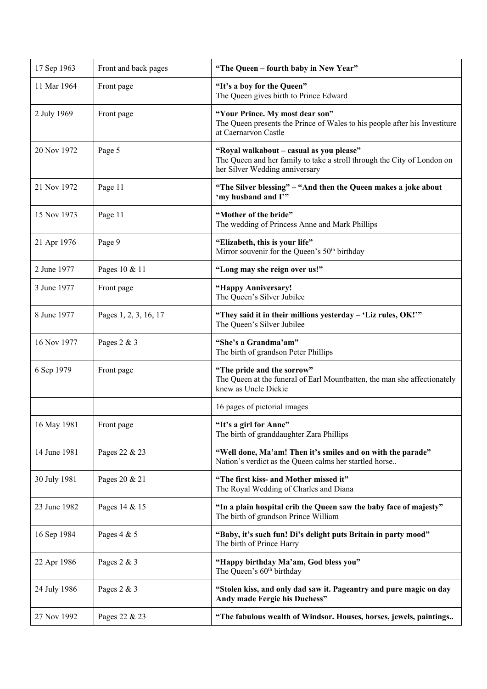| 17 Sep 1963  | Front and back pages  | "The Queen - fourth baby in New Year"                                                                                                                 |
|--------------|-----------------------|-------------------------------------------------------------------------------------------------------------------------------------------------------|
| 11 Mar 1964  | Front page            | "It's a boy for the Queen"<br>The Queen gives birth to Prince Edward                                                                                  |
| 2 July 1969  | Front page            | "Your Prince. My most dear son"<br>The Queen presents the Prince of Wales to his people after his Investiture<br>at Caernarvon Castle                 |
| 20 Nov 1972  | Page 5                | "Royal walkabout - casual as you please"<br>The Queen and her family to take a stroll through the City of London on<br>her Silver Wedding anniversary |
| 21 Nov 1972  | Page 11               | "The Silver blessing" - "And then the Queen makes a joke about<br>'my husband and I'"                                                                 |
| 15 Nov 1973  | Page 11               | "Mother of the bride"<br>The wedding of Princess Anne and Mark Phillips                                                                               |
| 21 Apr 1976  | Page 9                | "Elizabeth, this is your life"<br>Mirror souvenir for the Queen's 50 <sup>th</sup> birthday                                                           |
| 2 June 1977  | Pages 10 & 11         | "Long may she reign over us!"                                                                                                                         |
| 3 June 1977  | Front page            | "Happy Anniversary!<br>The Queen's Silver Jubilee                                                                                                     |
| 8 June 1977  | Pages 1, 2, 3, 16, 17 | "They said it in their millions yesterday - 'Liz rules, OK!""<br>The Queen's Silver Jubilee                                                           |
| 16 Nov 1977  | Pages 2 & 3           | "She's a Grandma'am"<br>The birth of grandson Peter Phillips                                                                                          |
| 6 Sep 1979   | Front page            | "The pride and the sorrow"<br>The Queen at the funeral of Earl Mountbatten, the man she affectionately<br>knew as Uncle Dickie                        |
|              |                       | 16 pages of pictorial images                                                                                                                          |
| 16 May 1981  | Front page            | "It's a girl for Anne"<br>The birth of granddaughter Zara Phillips                                                                                    |
| 14 June 1981 | Pages 22 & 23         | "Well done, Ma'am! Then it's smiles and on with the parade"<br>Nation's verdict as the Queen calms her startled horse                                 |
| 30 July 1981 | Pages 20 & 21         | "The first kiss- and Mother missed it"<br>The Royal Wedding of Charles and Diana                                                                      |
| 23 June 1982 | Pages 14 & 15         | "In a plain hospital crib the Queen saw the baby face of majesty"<br>The birth of grandson Prince William                                             |
| 16 Sep 1984  | Pages 4 & 5           | "Baby, it's such fun! Di's delight puts Britain in party mood"<br>The birth of Prince Harry                                                           |
| 22 Apr 1986  | Pages 2 & 3           | "Happy birthday Ma'am, God bless you"<br>The Queen's 60 <sup>th</sup> birthday                                                                        |
| 24 July 1986 | Pages 2 & 3           | "Stolen kiss, and only dad saw it. Pageantry and pure magic on day<br>Andy made Fergie his Duchess"                                                   |
| 27 Nov 1992  | Pages 22 & 23         | "The fabulous wealth of Windsor. Houses, horses, jewels, paintings                                                                                    |